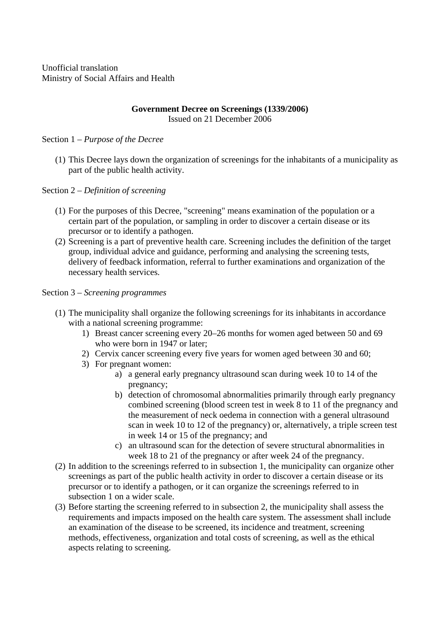Unofficial translation Ministry of Social Affairs and Health

## **Government Decree on Screenings (1339/2006)**  Issued on 21 December 2006

# Section 1 – *Purpose of the Decree*

(1) This Decree lays down the organization of screenings for the inhabitants of a municipality as part of the public health activity.

## Section 2 – *Definition of screening*

- (1) For the purposes of this Decree, "screening" means examination of the population or a certain part of the population, or sampling in order to discover a certain disease or its precursor or to identify a pathogen.
- (2) Screening is a part of preventive health care. Screening includes the definition of the target group, individual advice and guidance, performing and analysing the screening tests, delivery of feedback information, referral to further examinations and organization of the necessary health services.

## Section 3 – *Screening programmes*

- (1) The municipality shall organize the following screenings for its inhabitants in accordance with a national screening programme:
	- 1) Breast cancer screening every 20–26 months for women aged between 50 and 69 who were born in 1947 or later;
	- 2) Cervix cancer screening every five years for women aged between 30 and 60;
	- 3) For pregnant women:
		- a) a general early pregnancy ultrasound scan during week 10 to 14 of the pregnancy;
		- b) detection of chromosomal abnormalities primarily through early pregnancy combined screening (blood screen test in week 8 to 11 of the pregnancy and the measurement of neck oedema in connection with a general ultrasound scan in week 10 to 12 of the pregnancy) or, alternatively, a triple screen test in week 14 or 15 of the pregnancy; and
		- c) an ultrasound scan for the detection of severe structural abnormalities in week 18 to 21 of the pregnancy or after week 24 of the pregnancy.
- (2) In addition to the screenings referred to in subsection 1, the municipality can organize other screenings as part of the public health activity in order to discover a certain disease or its precursor or to identify a pathogen, or it can organize the screenings referred to in subsection 1 on a wider scale.
- (3) Before starting the screening referred to in subsection 2, the municipality shall assess the requirements and impacts imposed on the health care system. The assessment shall include an examination of the disease to be screened, its incidence and treatment, screening methods, effectiveness, organization and total costs of screening, as well as the ethical aspects relating to screening.